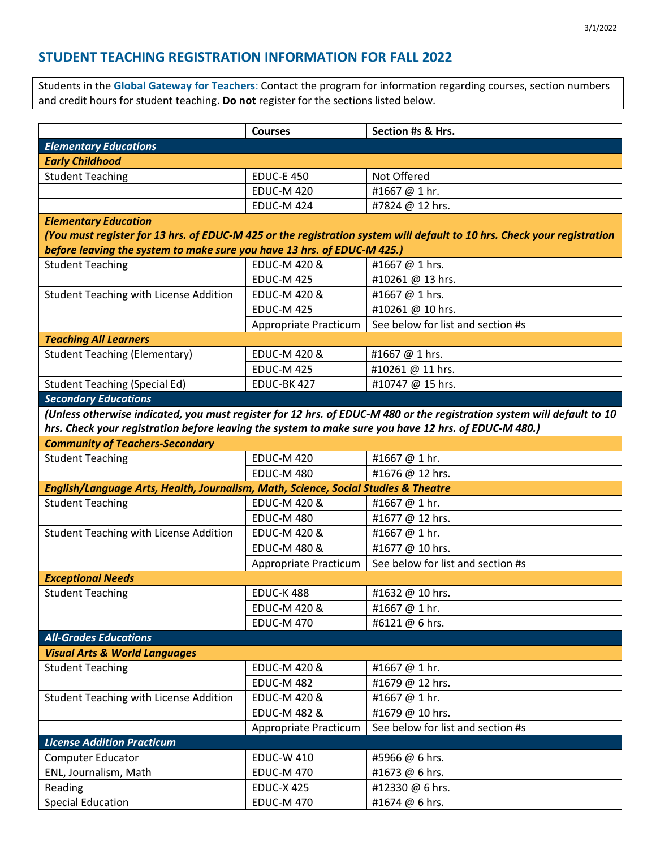## **STUDENT TEACHING REGISTRATION INFORMATION FOR FALL 2022**

Students in the **Global Gateway for Teachers**: Contact the program for information regarding courses, section numbers and credit hours for student teaching. **Do not** register for the sections listed below.

|                                                                                                                         | <b>Courses</b>          | Section #s & Hrs.                 |
|-------------------------------------------------------------------------------------------------------------------------|-------------------------|-----------------------------------|
| <b>Elementary Educations</b>                                                                                            |                         |                                   |
| <b>Early Childhood</b>                                                                                                  |                         |                                   |
| <b>Student Teaching</b>                                                                                                 | <b>EDUC-E 450</b>       | Not Offered                       |
|                                                                                                                         | <b>EDUC-M 420</b>       | #1667@1hr.                        |
|                                                                                                                         | <b>EDUC-M 424</b>       | #7824 @ 12 hrs.                   |
| <b>Elementary Education</b>                                                                                             |                         |                                   |
| (You must register for 13 hrs. of EDUC-M 425 or the registration system will default to 10 hrs. Check your registration |                         |                                   |
| before leaving the system to make sure you have 13 hrs. of EDUC-M 425.)                                                 |                         |                                   |
| <b>Student Teaching</b>                                                                                                 | <b>EDUC-M 420 &amp;</b> | #1667 @ 1 hrs.                    |
|                                                                                                                         | <b>EDUC-M 425</b>       | #10261 @ 13 hrs.                  |
| <b>Student Teaching with License Addition</b>                                                                           | EDUC-M 420 &            | #1667 @ 1 hrs.                    |
|                                                                                                                         | <b>EDUC-M 425</b>       | #10261 @ 10 hrs.                  |
|                                                                                                                         | Appropriate Practicum   | See below for list and section #s |
| <b>Teaching All Learners</b>                                                                                            |                         |                                   |
| <b>Student Teaching (Elementary)</b>                                                                                    | EDUC-M 420 &            | #1667 @ 1 hrs.                    |
|                                                                                                                         | <b>EDUC-M 425</b>       | #10261 @ 11 hrs.                  |
| <b>Student Teaching (Special Ed)</b>                                                                                    | EDUC-BK 427             | #10747 @ 15 hrs.                  |
| <b>Secondary Educations</b>                                                                                             |                         |                                   |
| (Unless otherwise indicated, you must register for 12 hrs. of EDUC-M 480 or the registration system will default to 10  |                         |                                   |
| hrs. Check your registration before leaving the system to make sure you have 12 hrs. of EDUC-M 480.)                    |                         |                                   |
| <b>Community of Teachers-Secondary</b>                                                                                  |                         |                                   |
| <b>Student Teaching</b>                                                                                                 | <b>EDUC-M 420</b>       | #1667 @ 1 hr.                     |
|                                                                                                                         | <b>EDUC-M 480</b>       | #1676 @ 12 hrs.                   |
| English/Language Arts, Health, Journalism, Math, Science, Social Studies & Theatre                                      |                         |                                   |
| <b>Student Teaching</b>                                                                                                 | <b>EDUC-M 420 &amp;</b> | #1667 @ 1 hr.                     |
|                                                                                                                         | <b>EDUC-M 480</b>       | #1677 @ 12 hrs.                   |
| Student Teaching with License Addition                                                                                  | <b>EDUC-M 420 &amp;</b> | #1667@1hr.                        |
|                                                                                                                         | <b>EDUC-M 480 &amp;</b> | #1677 @ 10 hrs.                   |
|                                                                                                                         | Appropriate Practicum   | See below for list and section #s |
| <b>Exceptional Needs</b>                                                                                                |                         |                                   |
| <b>Student Teaching</b>                                                                                                 | <b>EDUC-K488</b>        | #1632 @ 10 hrs.                   |
|                                                                                                                         | <b>EDUC-M 420 &amp;</b> | #1667@1hr.                        |
|                                                                                                                         | <b>EDUC-M 470</b>       | #6121@6hrs.                       |
| <b>All-Grades Educations</b>                                                                                            |                         |                                   |
| <b>Visual Arts &amp; World Languages</b>                                                                                |                         |                                   |
| <b>Student Teaching</b>                                                                                                 | <b>EDUC-M 420 &amp;</b> | #1667@1hr.                        |
|                                                                                                                         | <b>EDUC-M 482</b>       | #1679 @ 12 hrs.                   |
| <b>Student Teaching with License Addition</b>                                                                           | <b>EDUC-M 420 &amp;</b> | #1667@1hr.                        |
|                                                                                                                         | <b>EDUC-M 482 &amp;</b> | #1679 @ 10 hrs.                   |
|                                                                                                                         | Appropriate Practicum   | See below for list and section #s |
| <b>License Addition Practicum</b>                                                                                       |                         |                                   |
| Computer Educator                                                                                                       | <b>EDUC-W 410</b>       | #5966 @ 6 hrs.                    |
| ENL, Journalism, Math                                                                                                   | <b>EDUC-M 470</b>       | #1673 @ 6 hrs.                    |
| Reading                                                                                                                 | <b>EDUC-X 425</b>       | #12330 @ 6 hrs.                   |
| <b>Special Education</b>                                                                                                | <b>EDUC-M 470</b>       | #1674 @ 6 hrs.                    |